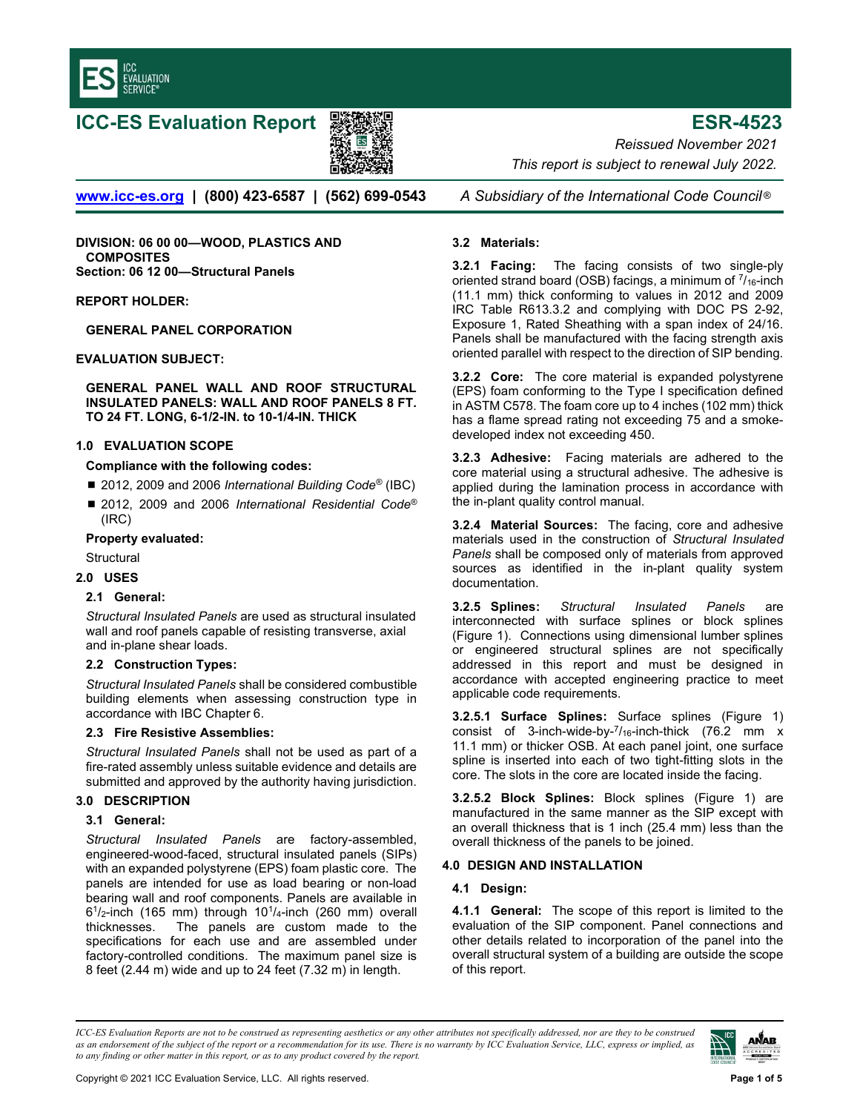

# ICC-ES Evaluation Report 影像器 ESR-4523



www.icc-es.org | (800) 423-6587 | (562) 699-0543 A Subsidiary of the International Code Council<sup>®</sup>

DIVISION: 06 00 00—WOOD, PLASTICS AND **COMPOSITES** Section: 06 12 00—Structural Panels

#### REPORT HOLDER:

GENERAL PANEL CORPORATION

#### EVALUATION SUBJECT:

GENERAL PANEL WALL AND ROOF STRUCTURAL INSULATED PANELS: WALL AND ROOF PANELS 8 FT. TO 24 FT. LONG, 6-1/2-IN. to 10-1/4-IN. THICK

#### 1.0 EVALUATION SCOPE

#### Compliance with the following codes:

- 2012, 2009 and 2006 International Building Code<sup>®</sup> (IBC)
- 2012, 2009 and 2006 International Residential Code<sup>®</sup> (IRC)

## Property evaluated:

- **Structural**
- 2.0 USES

# 2.1 General:

Structural Insulated Panels are used as structural insulated wall and roof panels capable of resisting transverse, axial and in-plane shear loads.

#### 2.2 Construction Types:

Structural Insulated Panels shall be considered combustible building elements when assessing construction type in accordance with IBC Chapter 6.

#### 2.3 Fire Resistive Assemblies:

Structural Insulated Panels shall not be used as part of a fire-rated assembly unless suitable evidence and details are submitted and approved by the authority having jurisdiction.

# 3.0 DESCRIPTION

# 3.1 General:

Structural Insulated Panels are factory-assembled, engineered-wood-faced, structural insulated panels (SIPs) with an expanded polystyrene (EPS) foam plastic core. The panels are intended for use as load bearing or non-load bearing wall and roof components. Panels are available in  $6<sup>1</sup>/2$ -inch (165 mm) through 10<sup>1</sup>/<sub>4</sub>-inch (260 mm) overall thicknesses. The panels are custom made to the specifications for each use and are assembled under factory-controlled conditions. The maximum panel size is 8 feet (2.44 m) wide and up to 24 feet (7.32 m) in length.

Reissued November 2021 This report is subject to renewal July 2022.

## 3.2 Materials:

**3.2.1 Facing:** The facing consists of two single-ply oriented strand board (OSB) facings, a minimum of  $\frac{7}{16}$ -inch (11.1 mm) thick conforming to values in 2012 and 2009 IRC Table R613.3.2 and complying with DOC PS 2-92, Exposure 1, Rated Sheathing with a span index of 24/16. Panels shall be manufactured with the facing strength axis oriented parallel with respect to the direction of SIP bending.

3.2.2 Core: The core material is expanded polystyrene (EPS) foam conforming to the Type I specification defined in ASTM C578. The foam core up to 4 inches (102 mm) thick has a flame spread rating not exceeding 75 and a smokedeveloped index not exceeding 450.

**3.2.3 Adhesive:** Facing materials are adhered to the core material using a structural adhesive. The adhesive is applied during the lamination process in accordance with the in-plant quality control manual.

3.2.4 Material Sources: The facing, core and adhesive materials used in the construction of Structural Insulated Panels shall be composed only of materials from approved sources as identified in the in-plant quality system documentation.

3.2.5 Splines: Structural Insulated Panels are interconnected with surface splines or block splines (Figure 1). Connections using dimensional lumber splines or engineered structural splines are not specifically addressed in this report and must be designed in accordance with accepted engineering practice to meet applicable code requirements.

3.2.5.1 Surface Splines: Surface splines (Figure 1) consist of 3-inch-wide-by- $\frac{7}{16}$ -inch-thick (76.2 mm x 11.1 mm) or thicker OSB. At each panel joint, one surface spline is inserted into each of two tight-fitting slots in the core. The slots in the core are located inside the facing.

3.2.5.2 Block Splines: Block splines (Figure 1) are manufactured in the same manner as the SIP except with an overall thickness that is 1 inch (25.4 mm) less than the overall thickness of the panels to be joined.

# 4.0 DESIGN AND INSTALLATION

# 4.1 Design:

4.1.1 General: The scope of this report is limited to the evaluation of the SIP component. Panel connections and other details related to incorporation of the panel into the overall structural system of a building are outside the scope of this report.

ICC-ES Evaluation Reports are not to be construed as representing aesthetics or any other attributes not specifically addressed, nor are they to be construed as an endorsement of the subject of the report or a recommendation for its use. There is no warranty by ICC Evaluation Service, LLC, express or implied, as to any finding or other matter in this report, or as to any product covered by the report.

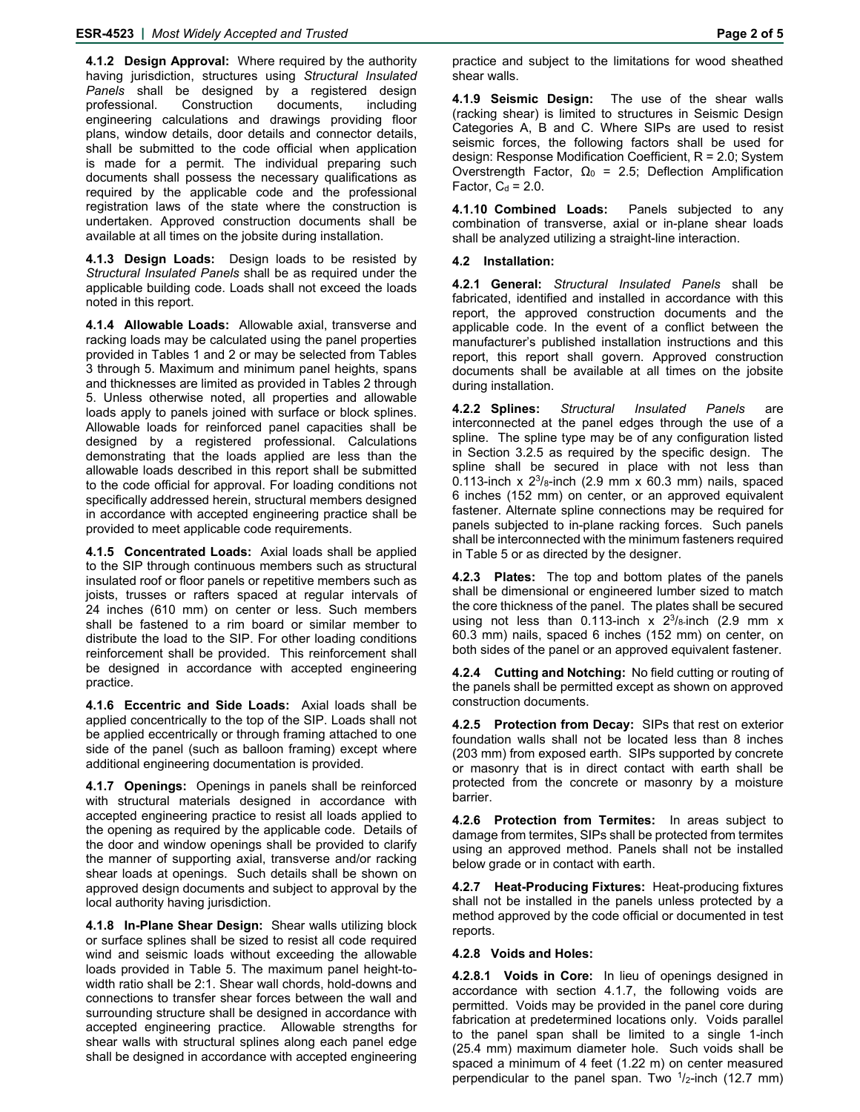**4.1.2 Design Approval:** Where required by the authority having jurisdiction, structures using *Structural Insulated Panels* shall be designed by a registered design professional. Construction documents, including engineering calculations and drawings providing floor plans, window details, door details and connector details, shall be submitted to the code official when application is made for a permit. The individual preparing such documents shall possess the necessary qualifications as required by the applicable code and the professional registration laws of the state where the construction is undertaken. Approved construction documents shall be available at all times on the jobsite during installation.

**4.1.3 Design Loads:** Design loads to be resisted by *Structural Insulated Panels* shall be as required under the applicable building code. Loads shall not exceed the loads noted in this report.

**4.1.4 Allowable Loads:** Allowable axial, transverse and racking loads may be calculated using the panel properties provided in Tables 1 and 2 or may be selected from Tables 3 through 5. Maximum and minimum panel heights, spans and thicknesses are limited as provided in Tables 2 through 5. Unless otherwise noted, all properties and allowable loads apply to panels joined with surface or block splines. Allowable loads for reinforced panel capacities shall be designed by a registered professional. Calculations demonstrating that the loads applied are less than the allowable loads described in this report shall be submitted to the code official for approval. For loading conditions not specifically addressed herein, structural members designed in accordance with accepted engineering practice shall be provided to meet applicable code requirements.

**4.1.5 Concentrated Loads:** Axial loads shall be applied to the SIP through continuous members such as structural insulated roof or floor panels or repetitive members such as joists, trusses or rafters spaced at regular intervals of 24 inches (610 mm) on center or less. Such members shall be fastened to a rim board or similar member to distribute the load to the SIP. For other loading conditions reinforcement shall be provided. This reinforcement shall be designed in accordance with accepted engineering practice.

**4.1.6 Eccentric and Side Loads:** Axial loads shall be applied concentrically to the top of the SIP. Loads shall not be applied eccentrically or through framing attached to one side of the panel (such as balloon framing) except where additional engineering documentation is provided.

**4.1.7 Openings:** Openings in panels shall be reinforced with structural materials designed in accordance with accepted engineering practice to resist all loads applied to the opening as required by the applicable code. Details of the door and window openings shall be provided to clarify the manner of supporting axial, transverse and/or racking shear loads at openings. Such details shall be shown on approved design documents and subject to approval by the local authority having jurisdiction.

**4.1.8 In-Plane Shear Design:** Shear walls utilizing block or surface splines shall be sized to resist all code required wind and seismic loads without exceeding the allowable loads provided in Table 5. The maximum panel height-towidth ratio shall be 2:1. Shear wall chords, hold-downs and connections to transfer shear forces between the wall and surrounding structure shall be designed in accordance with accepted engineering practice. Allowable strengths for shear walls with structural splines along each panel edge shall be designed in accordance with accepted engineering

practice and subject to the limitations for wood sheathed shear walls.

**4.1.9 Seismic Design:** The use of the shear walls (racking shear) is limited to structures in Seismic Design Categories A, B and C. Where SIPs are used to resist seismic forces, the following factors shall be used for design: Response Modification Coefficient, R = 2.0; System Overstrength Factor,  $\Omega_0$  = 2.5; Deflection Amplification Factor,  $C_d = 2.0$ .

**4.1.10 Combined Loads:** Panels subjected to any combination of transverse, axial or in-plane shear loads shall be analyzed utilizing a straight-line interaction.

# **4.2 Installation:**

**4.2.1 General:** *Structural Insulated Panels* shall be fabricated, identified and installed in accordance with this report, the approved construction documents and the applicable code. In the event of a conflict between the manufacturer's published installation instructions and this report, this report shall govern. Approved construction documents shall be available at all times on the jobsite during installation.

**4.2.2 Splines:** *Structural Insulated Panels* are interconnected at the panel edges through the use of a spline. The spline type may be of any configuration listed in Section 3.2.5 as required by the specific design. The spline shall be secured in place with not less than 0.113-inch x  $2^{3}/_{8}$ -inch (2.9 mm x 60.3 mm) nails, spaced 6 inches (152 mm) on center, or an approved equivalent fastener. Alternate spline connections may be required for panels subjected to in-plane racking forces. Such panels shall be interconnected with the minimum fasteners required in Table 5 or as directed by the designer.

**4.2.3 Plates:** The top and bottom plates of the panels shall be dimensional or engineered lumber sized to match the core thickness of the panel. The plates shall be secured using not less than 0.113-inch x  $2^3$ / $_8$ -inch (2.9 mm x 60.3 mm) nails, spaced 6 inches (152 mm) on center, on both sides of the panel or an approved equivalent fastener.

**4.2.4 Cutting and Notching:** No field cutting or routing of the panels shall be permitted except as shown on approved construction documents.

**4.2.5 Protection from Decay:** SIPs that rest on exterior foundation walls shall not be located less than 8 inches (203 mm) from exposed earth. SIPs supported by concrete or masonry that is in direct contact with earth shall be protected from the concrete or masonry by a moisture barrier.

**4.2.6 Protection from Termites:** In areas subject to damage from termites, SIPs shall be protected from termites using an approved method. Panels shall not be installed below grade or in contact with earth.

**4.2.7 Heat-Producing Fixtures:** Heat-producing fixtures shall not be installed in the panels unless protected by a method approved by the code official or documented in test reports.

# **4.2.8 Voids and Holes:**

**4.2.8.1 Voids in Core:** In lieu of openings designed in accordance with section 4.1.7, the following voids are permitted. Voids may be provided in the panel core during fabrication at predetermined locations only. Voids parallel to the panel span shall be limited to a single 1-inch (25.4 mm) maximum diameter hole. Such voids shall be spaced a minimum of 4 feet (1.22 m) on center measured perpendicular to the panel span. Two  $\frac{1}{2}$ -inch (12.7 mm)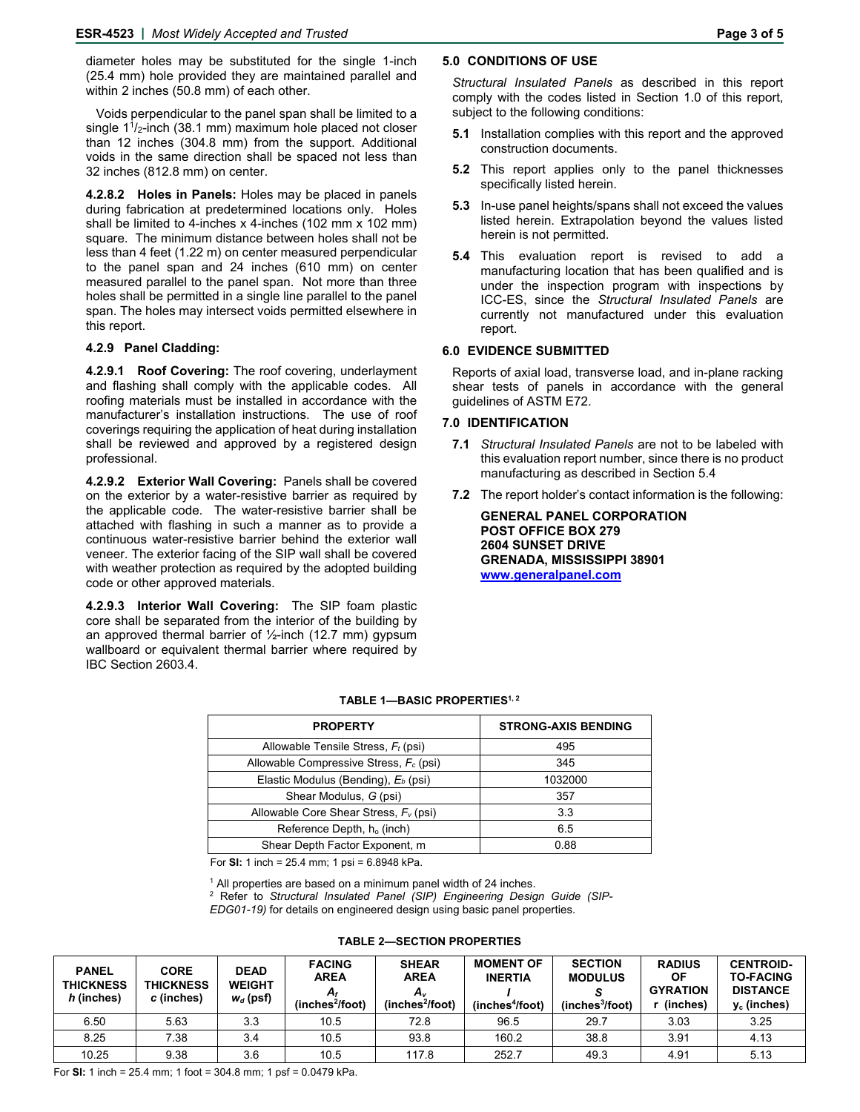diameter holes may be substituted for the single 1-inch (25.4 mm) hole provided they are maintained parallel and within 2 inches (50.8 mm) of each other.

Voids perpendicular to the panel span shall be limited to a single 1<sup>1</sup>/<sub>2</sub>-inch (38.1 mm) maximum hole placed not closer than 12 inches (304.8 mm) from the support. Additional voids in the same direction shall be spaced not less than 32 inches (812.8 mm) on center.

**4.2.8.2 Holes in Panels:** Holes may be placed in panels during fabrication at predetermined locations only. Holes shall be limited to 4-inches x 4-inches (102 mm x 102 mm) square. The minimum distance between holes shall not be less than 4 feet (1.22 m) on center measured perpendicular to the panel span and 24 inches (610 mm) on center measured parallel to the panel span. Not more than three holes shall be permitted in a single line parallel to the panel span. The holes may intersect voids permitted elsewhere in this report.

#### **4.2.9 Panel Cladding:**

**4.2.9.1 Roof Covering:** The roof covering, underlayment and flashing shall comply with the applicable codes. All roofing materials must be installed in accordance with the manufacturer's installation instructions. The use of roof coverings requiring the application of heat during installation shall be reviewed and approved by a registered design professional.

**4.2.9.2 Exterior Wall Covering:** Panels shall be covered on the exterior by a water-resistive barrier as required by the applicable code. The water-resistive barrier shall be attached with flashing in such a manner as to provide a continuous water-resistive barrier behind the exterior wall veneer. The exterior facing of the SIP wall shall be covered with weather protection as required by the adopted building code or other approved materials.

**4.2.9.3 Interior Wall Covering:** The SIP foam plastic core shall be separated from the interior of the building by an approved thermal barrier of  $\frac{1}{2}$ -inch (12.7 mm) gypsum wallboard or equivalent thermal barrier where required by IBC Section 2603.4.

# **5.0 CONDITIONS OF USE**

*Structural Insulated Panels* as described in this report comply with the codes listed in Section 1.0 of this report, subject to the following conditions:

- **5.1** Installation complies with this report and the approved construction documents.
- **5.2** This report applies only to the panel thicknesses specifically listed herein.
- **5.3** In-use panel heights/spans shall not exceed the values listed herein. Extrapolation beyond the values listed herein is not permitted.
- **5.4** This evaluation report is revised to add a manufacturing location that has been qualified and is under the inspection program with inspections by ICC-ES, since the *Structural Insulated Panels* are currently not manufactured under this evaluation report.

## **6.0 EVIDENCE SUBMITTED**

Reports of axial load, transverse load, and in-plane racking shear tests of panels in accordance with the general guidelines of ASTM E72.

#### **7.0 IDENTIFICATION**

- **7.1** *Structural Insulated Panels* are not to be labeled with this evaluation report number, since there is no product manufacturing as described in Section 5.4
- **7.2** The report holder's contact information is the following:

**GENERAL PANEL CORPORATION POST OFFICE BOX 279 2604 SUNSET DRIVE GRENADA, MISSISSIPPI 38901 www.generalpanel.com**

| <b>PROPERTY</b>                                 | <b>STRONG-AXIS BENDING</b> |  |  |
|-------------------------------------------------|----------------------------|--|--|
| Allowable Tensile Stress, $F_t$ (psi)           | 495                        |  |  |
| Allowable Compressive Stress, $F_c$ (psi)       | 345                        |  |  |
| Elastic Modulus (Bending), E <sub>b</sub> (psi) | 1032000                    |  |  |
| Shear Modulus, G (psi)                          | 357                        |  |  |
| Allowable Core Shear Stress, $F_v$ (psi)        | 3.3                        |  |  |
| Reference Depth, h <sub>o</sub> (inch)          | 6.5                        |  |  |
| Shear Depth Factor Exponent, m                  | 0.88                       |  |  |

#### TABLE 1-BASIC PROPERTIES<sup>1, 2</sup>

For **SI:** 1 inch = 25.4 mm; 1 psi = 6.8948 kPa.

 $^1$  All properties are based on a minimum panel width of 24 inches.<br><sup>2</sup>. Pefer, to, *Structural, Insulated, Panel (SIP*), *Engineering, Desig* 

<sup>2</sup> Refer to Structural Insulated Panel (SIP) Engineering Design Guide (SIP-*EDG01-19)* for details on engineered design using basic panel properties.

| <b>PANEL</b><br><b>THICKNESS</b><br>h (inches) | <b>CORE</b><br><b>THICKNESS</b><br>c (inches) | <b>DEAD</b><br><b>WEIGHT</b><br>$w_d$ (psf) | <b>FACING</b><br><b>AREA</b><br>A,<br>(inches <sup>2</sup> /foot) | <b>SHEAR</b><br><b>AREA</b><br>A.<br>(inches <sup>2</sup> /foot) | <b>MOMENT OF</b><br><b>INERTIA</b><br>(inches <sup>4</sup> /foot) | <b>SECTION</b><br><b>MODULUS</b><br>(inches <sup>3</sup> /foot) | <b>RADIUS</b><br>ΟF<br><b>GYRATION</b><br>(inches) | <b>CENTROID-</b><br><b>TO-FACING</b><br><b>DISTANCE</b><br>$y_c$ (inches) |
|------------------------------------------------|-----------------------------------------------|---------------------------------------------|-------------------------------------------------------------------|------------------------------------------------------------------|-------------------------------------------------------------------|-----------------------------------------------------------------|----------------------------------------------------|---------------------------------------------------------------------------|
| 6.50                                           | 5.63                                          | 3.3                                         | 10.5                                                              | 72.8                                                             | 96.5                                                              | 29.7                                                            | 3.03                                               | 3.25                                                                      |
| 8.25                                           | 7.38                                          | 3.4                                         | 10.5                                                              | 93.8                                                             | 160.2                                                             | 38.8                                                            | 3.91                                               | 4.13                                                                      |
| 10.25                                          | 9.38                                          | 3.6                                         | 10.5                                                              | 117.8                                                            | 252.7                                                             | 49.3                                                            | 4.91                                               | 5.13                                                                      |

**TABLE 2—SECTION PROPERTIES**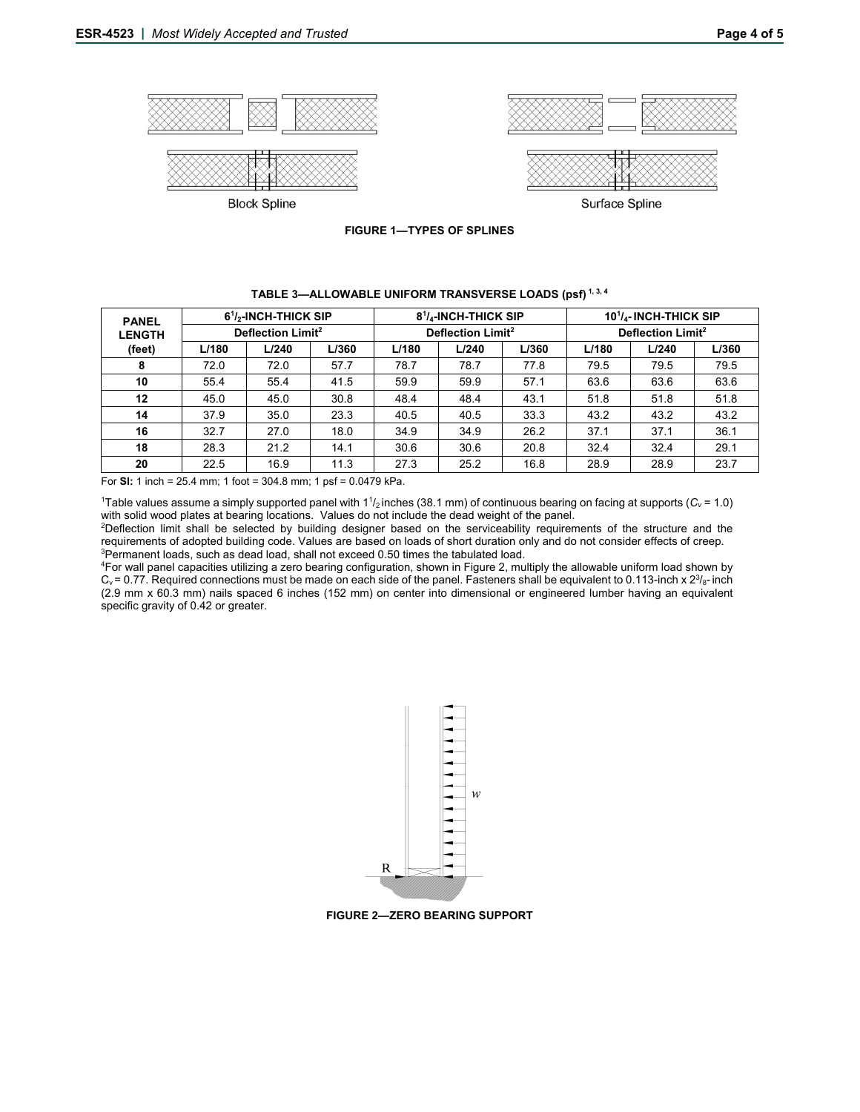

**FIGURE 1—TYPES OF SPLINES** 

| <b>PANEL</b>  | $61/2$ -INCH-THICK SIP        |       |       | 8 <sup>1</sup> / <sub>4</sub> -INCH-THICK SIP |       |       | 10 <sup>1</sup> / <sub>4</sub> -INCH-THICK SIP |       |       |
|---------------|-------------------------------|-------|-------|-----------------------------------------------|-------|-------|------------------------------------------------|-------|-------|
| <b>LENGTH</b> | Deflection Limit <sup>2</sup> |       |       | Deflection Limit <sup>2</sup>                 |       |       | Deflection Limit <sup>2</sup>                  |       |       |
| (feet)        | L/180                         | L/240 | L/360 | L/180                                         | L/240 | L/360 | L/180                                          | L/240 | L/360 |
| 8             | 72.0                          | 72.0  | 57.7  | 78.7                                          | 78.7  | 77.8  | 79.5                                           | 79.5  | 79.5  |
| 10            | 55.4                          | 55.4  | 41.5  | 59.9                                          | 59.9  | 57.1  | 63.6                                           | 63.6  | 63.6  |
| 12            | 45.0                          | 45.0  | 30.8  | 48.4                                          | 48.4  | 43.1  | 51.8                                           | 51.8  | 51.8  |
| 14            | 37.9                          | 35.0  | 23.3  | 40.5                                          | 40.5  | 33.3  | 43.2                                           | 43.2  | 43.2  |
| 16            | 32.7                          | 27.0  | 18.0  | 34.9                                          | 34.9  | 26.2  | 37.1                                           | 37.1  | 36.1  |
| 18            | 28.3                          | 21.2  | 14.1  | 30.6                                          | 30.6  | 20.8  | 32.4                                           | 32.4  | 29.1  |
| 20            | 22.5                          | 16.9  | 11.3  | 27.3                                          | 25.2  | 16.8  | 28.9                                           | 28.9  | 23.7  |

# **TABLE 3—ALLOWABLE UNIFORM TRANSVERSE LOADS (psf) 1, 3, 4**

For **SI:** 1 inch = 25.4 mm; 1 foot = 304.8 mm; 1 psf = 0.0479 kPa.

 $1$ Table values assume a simply supported panel with  $11_2$ inches (38.1 mm) of continuous bearing on facing at supports ( $C_v$  = 1.0) with solid wood plates at bearing locations. Values do not include the dead weight of the panel. 2

<sup>2</sup>Deflection limit shall be selected by building designer based on the serviceability requirements of the structure and the requirements of adopted building code. Values are based on loads of short duration only and do not consider effects of creep. 3 <sup>3</sup>Permanent loads, such as dead load, shall not exceed 0.50 times the tabulated load.

For wall panel capacities utilizing a zero bearing configuration, shown in Figure 2, multiply the allowable uniform load shown by  $C_v$  = 0.77. Required connections must be made on each side of the panel. Fasteners shall be equivalent to 0.113-inch x  $2^{3}/_8$ -inch (2.9 mm x 60.3 mm) nails spaced 6 inches (152 mm) on center into dimensional or engineered lumber having an equivalent specific gravity of 0.42 or greater.



**FIGURE 2—ZERO BEARING SUPPORT**